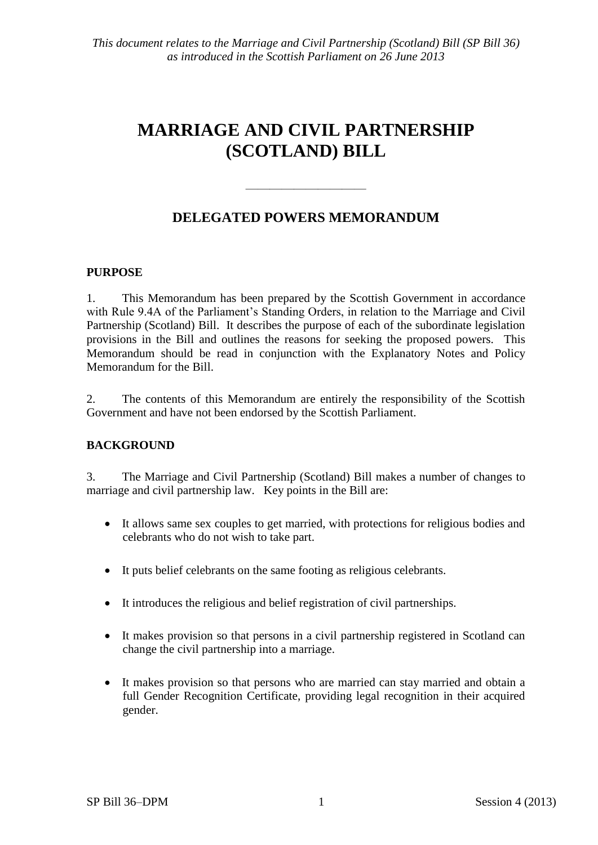# **MARRIAGE AND CIVIL PARTNERSHIP (SCOTLAND) BILL**

## **DELEGATED POWERS MEMORANDUM**

 $\frac{1}{\sqrt{2}}$  ,  $\frac{1}{\sqrt{2}}$  ,  $\frac{1}{\sqrt{2}}$  ,  $\frac{1}{\sqrt{2}}$  ,  $\frac{1}{\sqrt{2}}$  ,  $\frac{1}{\sqrt{2}}$  ,  $\frac{1}{\sqrt{2}}$  ,  $\frac{1}{\sqrt{2}}$  ,  $\frac{1}{\sqrt{2}}$  ,  $\frac{1}{\sqrt{2}}$  ,  $\frac{1}{\sqrt{2}}$  ,  $\frac{1}{\sqrt{2}}$  ,  $\frac{1}{\sqrt{2}}$  ,  $\frac{1}{\sqrt{2}}$  ,  $\frac{1}{\sqrt{2}}$ 

#### **PURPOSE**

1. This Memorandum has been prepared by the Scottish Government in accordance with Rule 9.4A of the Parliament's Standing Orders, in relation to the Marriage and Civil Partnership (Scotland) Bill. It describes the purpose of each of the subordinate legislation provisions in the Bill and outlines the reasons for seeking the proposed powers. This Memorandum should be read in conjunction with the Explanatory Notes and Policy Memorandum for the Bill.

2. The contents of this Memorandum are entirely the responsibility of the Scottish Government and have not been endorsed by the Scottish Parliament.

#### **BACKGROUND**

3. The Marriage and Civil Partnership (Scotland) Bill makes a number of changes to marriage and civil partnership law. Key points in the Bill are:

- It allows same sex couples to get married, with protections for religious bodies and celebrants who do not wish to take part.
- It puts belief celebrants on the same footing as religious celebrants.
- It introduces the religious and belief registration of civil partnerships.
- It makes provision so that persons in a civil partnership registered in Scotland can change the civil partnership into a marriage.
- It makes provision so that persons who are married can stay married and obtain a full Gender Recognition Certificate, providing legal recognition in their acquired gender.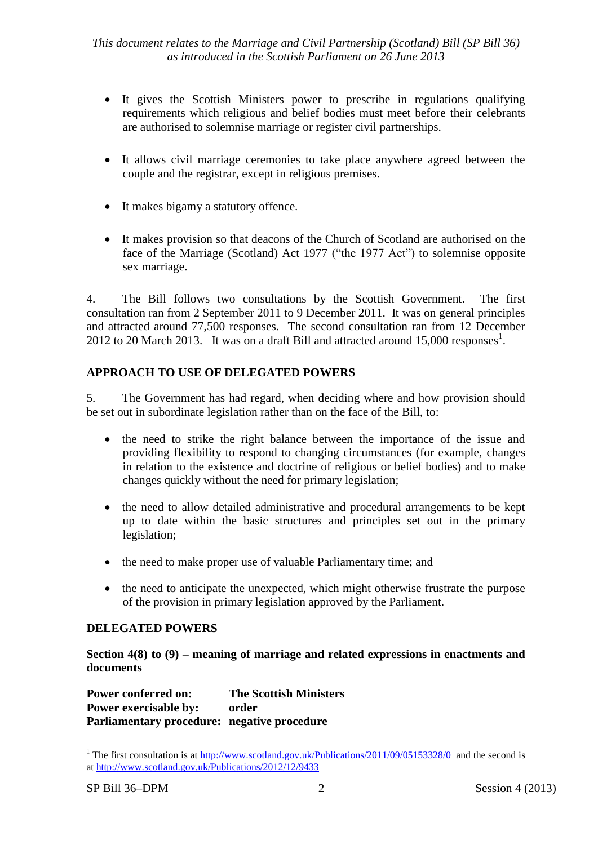- It gives the Scottish Ministers power to prescribe in regulations qualifying requirements which religious and belief bodies must meet before their celebrants are authorised to solemnise marriage or register civil partnerships.
- It allows civil marriage ceremonies to take place anywhere agreed between the couple and the registrar, except in religious premises.
- It makes bigamy a statutory offence.
- It makes provision so that deacons of the Church of Scotland are authorised on the face of the Marriage (Scotland) Act 1977 ("the 1977 Act") to solemnise opposite sex marriage.

4. The Bill follows two consultations by the Scottish Government. The first consultation ran from 2 September 2011 to 9 December 2011. It was on general principles and attracted around 77,500 responses. The second consultation ran from 12 December 2012 to 20 March 2013. It was on a draft Bill and attracted around  $15,000$  responses<sup>1</sup>.

## **APPROACH TO USE OF DELEGATED POWERS**

5. The Government has had regard, when deciding where and how provision should be set out in subordinate legislation rather than on the face of the Bill, to:

- the need to strike the right balance between the importance of the issue and providing flexibility to respond to changing circumstances (for example, changes in relation to the existence and doctrine of religious or belief bodies) and to make changes quickly without the need for primary legislation;
- the need to allow detailed administrative and procedural arrangements to be kept up to date within the basic structures and principles set out in the primary legislation;
- the need to make proper use of valuable Parliamentary time; and
- the need to anticipate the unexpected, which might otherwise frustrate the purpose of the provision in primary legislation approved by the Parliament.

## **DELEGATED POWERS**

**Section 4(8) to (9) – meaning of marriage and related expressions in enactments and documents**

**Power conferred on: The Scottish Ministers Power exercisable by: order Parliamentary procedure: negative procedure**

 $\overline{a}$ 

<sup>&</sup>lt;sup>1</sup> The first consultation is at  $\frac{http://www.scotland.gov.uk/Publications/2011/09/05153328/0}{http://www.scotland.gov.uk/Publications/2011/09/05153328/0}$  and the second is at<http://www.scotland.gov.uk/Publications/2012/12/9433>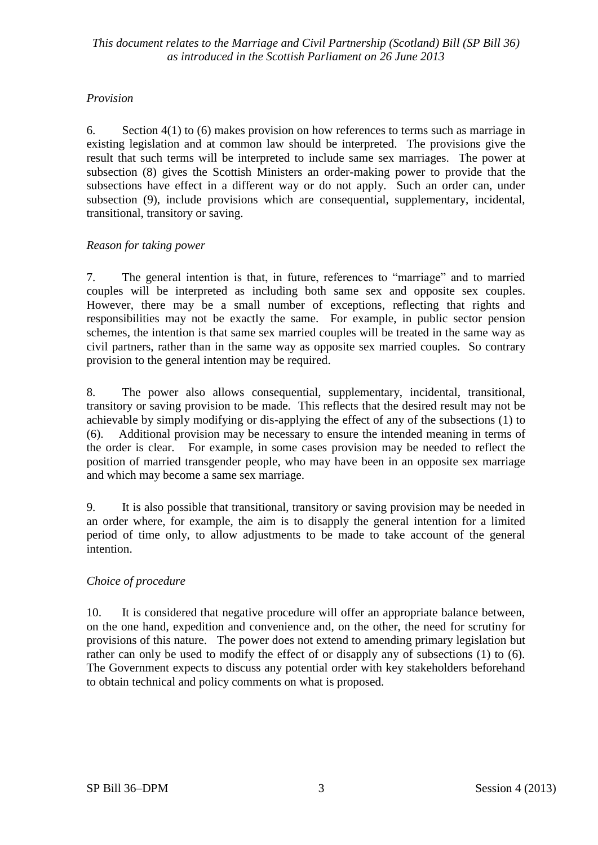## *Provision*

6. Section 4(1) to (6) makes provision on how references to terms such as marriage in existing legislation and at common law should be interpreted. The provisions give the result that such terms will be interpreted to include same sex marriages. The power at subsection (8) gives the Scottish Ministers an order-making power to provide that the subsections have effect in a different way or do not apply. Such an order can, under subsection (9), include provisions which are consequential, supplementary, incidental, transitional, transitory or saving.

#### *Reason for taking power*

7. The general intention is that, in future, references to "marriage" and to married couples will be interpreted as including both same sex and opposite sex couples. However, there may be a small number of exceptions, reflecting that rights and responsibilities may not be exactly the same. For example, in public sector pension schemes, the intention is that same sex married couples will be treated in the same way as civil partners, rather than in the same way as opposite sex married couples. So contrary provision to the general intention may be required.

8. The power also allows consequential, supplementary, incidental, transitional, transitory or saving provision to be made. This reflects that the desired result may not be achievable by simply modifying or dis-applying the effect of any of the subsections (1) to (6). Additional provision may be necessary to ensure the intended meaning in terms of the order is clear. For example, in some cases provision may be needed to reflect the position of married transgender people, who may have been in an opposite sex marriage and which may become a same sex marriage.

9. It is also possible that transitional, transitory or saving provision may be needed in an order where, for example, the aim is to disapply the general intention for a limited period of time only, to allow adjustments to be made to take account of the general intention.

#### *Choice of procedure*

10. It is considered that negative procedure will offer an appropriate balance between, on the one hand, expedition and convenience and, on the other, the need for scrutiny for provisions of this nature. The power does not extend to amending primary legislation but rather can only be used to modify the effect of or disapply any of subsections (1) to (6). The Government expects to discuss any potential order with key stakeholders beforehand to obtain technical and policy comments on what is proposed.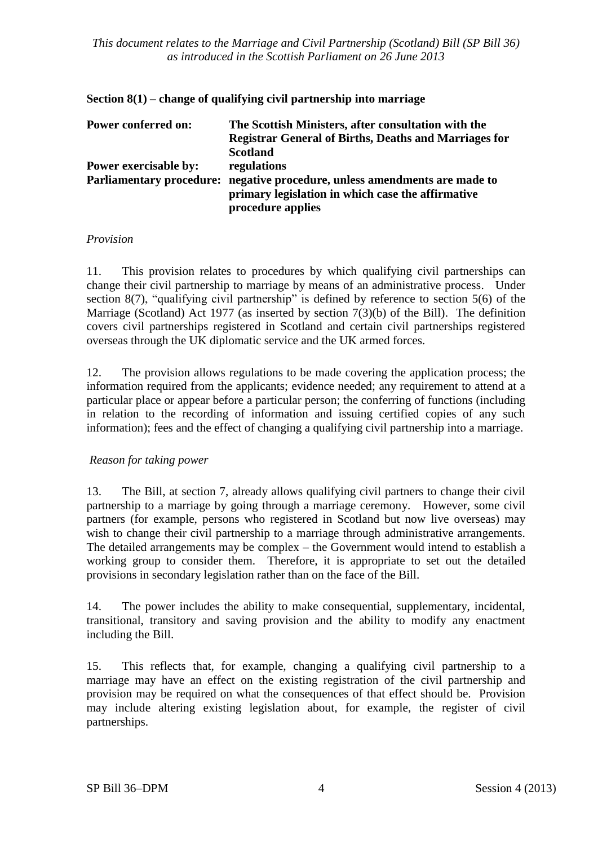| Power conferred on:   | The Scottish Ministers, after consultation with the                        |
|-----------------------|----------------------------------------------------------------------------|
|                       | <b>Registrar General of Births, Deaths and Marriages for</b>               |
|                       | <b>Scotland</b>                                                            |
| Power exercisable by: | regulations                                                                |
|                       | Parliamentary procedure: negative procedure, unless amendments are made to |
|                       | primary legislation in which case the affirmative                          |
|                       | procedure applies                                                          |

#### **Section 8(1) – change of qualifying civil partnership into marriage**

#### *Provision*

11. This provision relates to procedures by which qualifying civil partnerships can change their civil partnership to marriage by means of an administrative process. Under section 8(7), "qualifying civil partnership" is defined by reference to section 5(6) of the Marriage (Scotland) Act 1977 (as inserted by section 7(3)(b) of the Bill). The definition covers civil partnerships registered in Scotland and certain civil partnerships registered overseas through the UK diplomatic service and the UK armed forces.

12. The provision allows regulations to be made covering the application process; the information required from the applicants; evidence needed; any requirement to attend at a particular place or appear before a particular person; the conferring of functions (including in relation to the recording of information and issuing certified copies of any such information); fees and the effect of changing a qualifying civil partnership into a marriage.

#### *Reason for taking power*

13. The Bill, at section 7, already allows qualifying civil partners to change their civil partnership to a marriage by going through a marriage ceremony. However, some civil partners (for example, persons who registered in Scotland but now live overseas) may wish to change their civil partnership to a marriage through administrative arrangements. The detailed arrangements may be complex – the Government would intend to establish a working group to consider them. Therefore, it is appropriate to set out the detailed provisions in secondary legislation rather than on the face of the Bill.

14. The power includes the ability to make consequential, supplementary, incidental, transitional, transitory and saving provision and the ability to modify any enactment including the Bill.

15. This reflects that, for example, changing a qualifying civil partnership to a marriage may have an effect on the existing registration of the civil partnership and provision may be required on what the consequences of that effect should be. Provision may include altering existing legislation about, for example, the register of civil partnerships.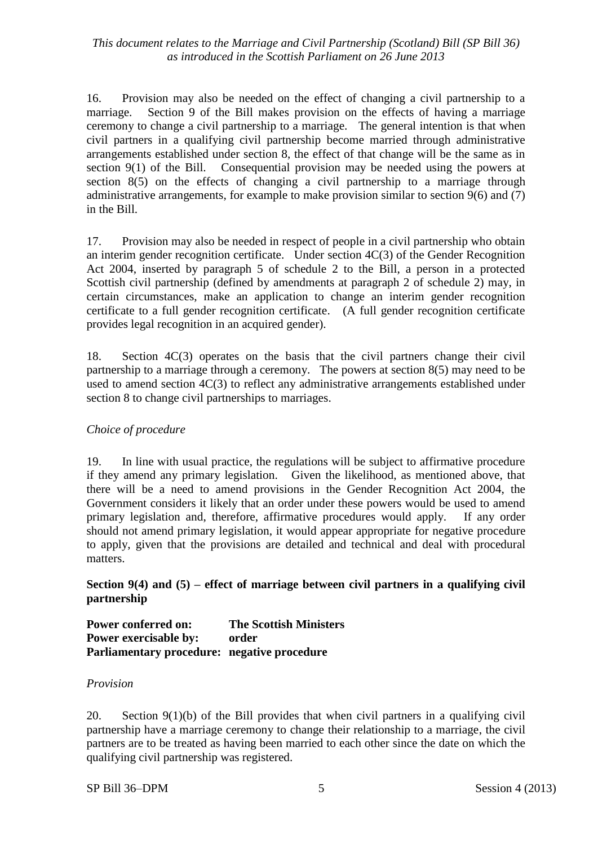16. Provision may also be needed on the effect of changing a civil partnership to a marriage. Section 9 of the Bill makes provision on the effects of having a marriage ceremony to change a civil partnership to a marriage. The general intention is that when civil partners in a qualifying civil partnership become married through administrative arrangements established under section 8, the effect of that change will be the same as in section 9(1) of the Bill. Consequential provision may be needed using the powers at section 8(5) on the effects of changing a civil partnership to a marriage through administrative arrangements, for example to make provision similar to section 9(6) and (7) in the Bill.

17. Provision may also be needed in respect of people in a civil partnership who obtain an interim gender recognition certificate. Under section 4C(3) of the Gender Recognition Act 2004, inserted by paragraph 5 of schedule 2 to the Bill, a person in a protected Scottish civil partnership (defined by amendments at paragraph 2 of schedule 2) may, in certain circumstances, make an application to change an interim gender recognition certificate to a full gender recognition certificate. (A full gender recognition certificate provides legal recognition in an acquired gender).

18. Section 4C(3) operates on the basis that the civil partners change their civil partnership to a marriage through a ceremony. The powers at section 8(5) may need to be used to amend section 4C(3) to reflect any administrative arrangements established under section 8 to change civil partnerships to marriages.

## *Choice of procedure*

19. In line with usual practice, the regulations will be subject to affirmative procedure if they amend any primary legislation. Given the likelihood, as mentioned above, that there will be a need to amend provisions in the Gender Recognition Act 2004, the Government considers it likely that an order under these powers would be used to amend primary legislation and, therefore, affirmative procedures would apply. If any order should not amend primary legislation, it would appear appropriate for negative procedure to apply, given that the provisions are detailed and technical and deal with procedural matters.

## **Section 9(4) and (5) – effect of marriage between civil partners in a qualifying civil partnership**

**Power conferred on: The Scottish Ministers Power exercisable by: order Parliamentary procedure: negative procedure**

#### *Provision*

20. Section 9(1)(b) of the Bill provides that when civil partners in a qualifying civil partnership have a marriage ceremony to change their relationship to a marriage, the civil partners are to be treated as having been married to each other since the date on which the qualifying civil partnership was registered.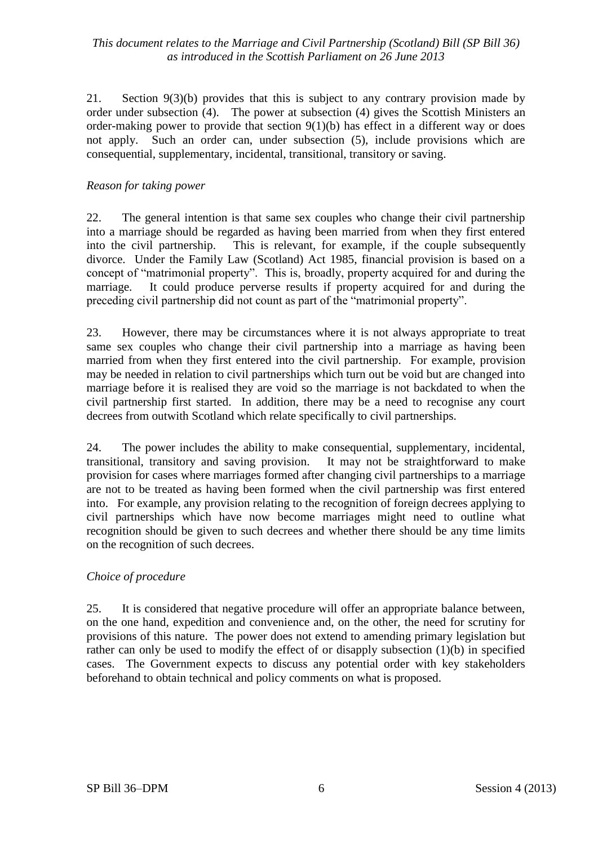21. Section 9(3)(b) provides that this is subject to any contrary provision made by order under subsection (4). The power at subsection (4) gives the Scottish Ministers an order-making power to provide that section 9(1)(b) has effect in a different way or does not apply. Such an order can, under subsection (5), include provisions which are consequential, supplementary, incidental, transitional, transitory or saving.

#### *Reason for taking power*

22. The general intention is that same sex couples who change their civil partnership into a marriage should be regarded as having been married from when they first entered into the civil partnership. This is relevant, for example, if the couple subsequently divorce. Under the Family Law (Scotland) Act 1985, financial provision is based on a concept of "matrimonial property". This is, broadly, property acquired for and during the marriage. It could produce perverse results if property acquired for and during the preceding civil partnership did not count as part of the "matrimonial property".

23. However, there may be circumstances where it is not always appropriate to treat same sex couples who change their civil partnership into a marriage as having been married from when they first entered into the civil partnership. For example, provision may be needed in relation to civil partnerships which turn out be void but are changed into marriage before it is realised they are void so the marriage is not backdated to when the civil partnership first started. In addition, there may be a need to recognise any court decrees from outwith Scotland which relate specifically to civil partnerships.

24. The power includes the ability to make consequential, supplementary, incidental, transitional, transitory and saving provision. It may not be straightforward to make provision for cases where marriages formed after changing civil partnerships to a marriage are not to be treated as having been formed when the civil partnership was first entered into. For example, any provision relating to the recognition of foreign decrees applying to civil partnerships which have now become marriages might need to outline what recognition should be given to such decrees and whether there should be any time limits on the recognition of such decrees.

## *Choice of procedure*

25. It is considered that negative procedure will offer an appropriate balance between, on the one hand, expedition and convenience and, on the other, the need for scrutiny for provisions of this nature. The power does not extend to amending primary legislation but rather can only be used to modify the effect of or disapply subsection (1)(b) in specified cases. The Government expects to discuss any potential order with key stakeholders beforehand to obtain technical and policy comments on what is proposed.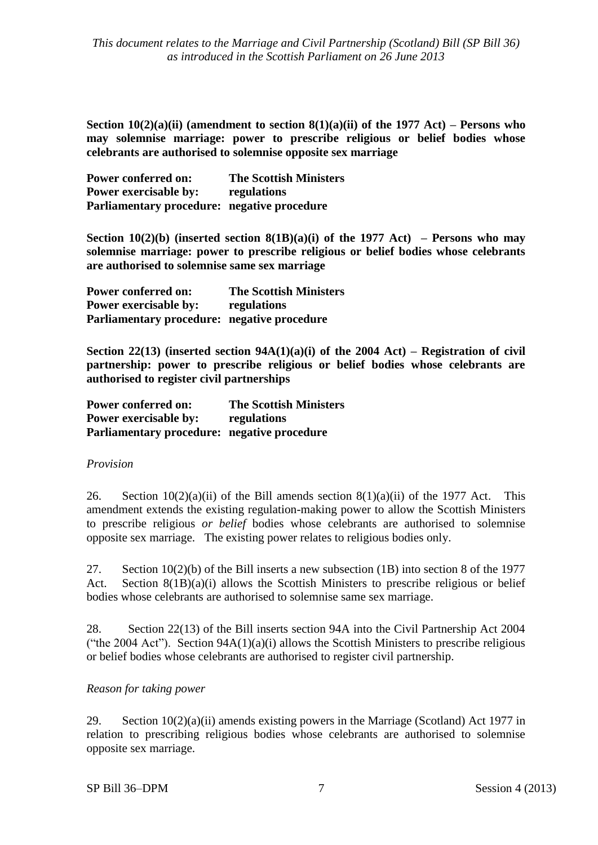**Section 10(2)(a)(ii) (amendment to section 8(1)(a)(ii) of the 1977 Act) – Persons who may solemnise marriage: power to prescribe religious or belief bodies whose celebrants are authorised to solemnise opposite sex marriage**

| <b>Power conferred on:</b>                  | <b>The Scottish Ministers</b> |
|---------------------------------------------|-------------------------------|
| <b>Power exercisable by:</b>                | regulations                   |
| Parliamentary procedure: negative procedure |                               |

**Section 10(2)(b)** (inserted section 8(1B)(a)(i) of the 1977 Act) – Persons who may **solemnise marriage: power to prescribe religious or belief bodies whose celebrants are authorised to solemnise same sex marriage** 

**Power conferred on: The Scottish Ministers Power exercisable by: regulations Parliamentary procedure: negative procedure**

**Section 22(13) (inserted section 94A(1)(a)(i) of the 2004 Act) – Registration of civil partnership: power to prescribe religious or belief bodies whose celebrants are authorised to register civil partnerships** 

| <b>Power conferred on:</b>                  | <b>The Scottish Ministers</b> |
|---------------------------------------------|-------------------------------|
| <b>Power exercisable by:</b>                | regulations                   |
| Parliamentary procedure: negative procedure |                               |

#### *Provision*

26. Section  $10(2)(a)(ii)$  of the Bill amends section  $8(1)(a)(ii)$  of the 1977 Act. This amendment extends the existing regulation-making power to allow the Scottish Ministers to prescribe religious *or belief* bodies whose celebrants are authorised to solemnise opposite sex marriage. The existing power relates to religious bodies only.

27. Section 10(2)(b) of the Bill inserts a new subsection (1B) into section 8 of the 1977 Act. Section 8(1B)(a)(i) allows the Scottish Ministers to prescribe religious or belief bodies whose celebrants are authorised to solemnise same sex marriage.

28. Section 22(13) of the Bill inserts section 94A into the Civil Partnership Act 2004 ("the 2004 Act"). Section  $94A(1)(a)(i)$  allows the Scottish Ministers to prescribe religious or belief bodies whose celebrants are authorised to register civil partnership.

## *Reason for taking power*

29. Section 10(2)(a)(ii) amends existing powers in the Marriage (Scotland) Act 1977 in relation to prescribing religious bodies whose celebrants are authorised to solemnise opposite sex marriage.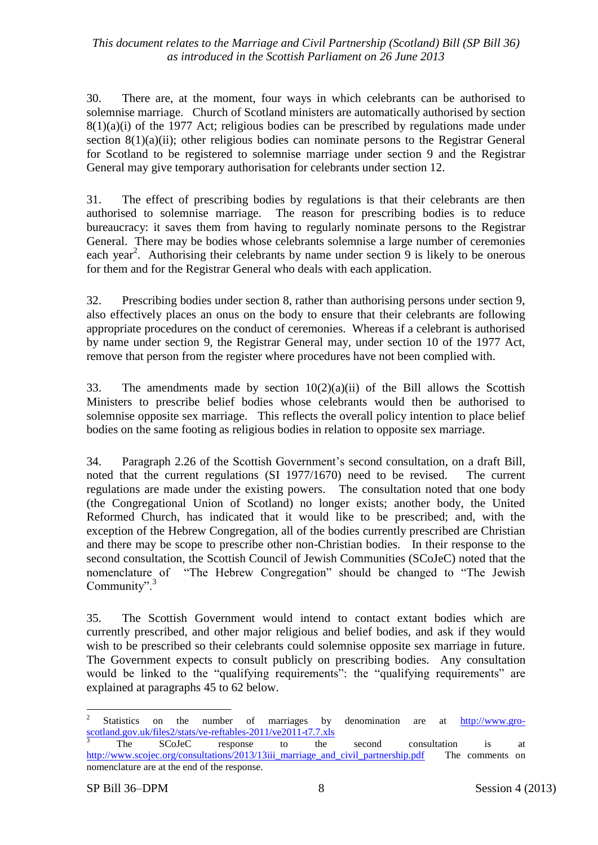30. There are, at the moment, four ways in which celebrants can be authorised to solemnise marriage. Church of Scotland ministers are automatically authorised by section 8(1)(a)(i) of the 1977 Act; religious bodies can be prescribed by regulations made under section 8(1)(a)(ii); other religious bodies can nominate persons to the Registrar General for Scotland to be registered to solemnise marriage under section 9 and the Registrar General may give temporary authorisation for celebrants under section 12.

31. The effect of prescribing bodies by regulations is that their celebrants are then authorised to solemnise marriage. The reason for prescribing bodies is to reduce bureaucracy: it saves them from having to regularly nominate persons to the Registrar General. There may be bodies whose celebrants solemnise a large number of ceremonies each year<sup>2</sup>. Authorising their celebrants by name under section 9 is likely to be onerous for them and for the Registrar General who deals with each application.

32. Prescribing bodies under section 8, rather than authorising persons under section 9, also effectively places an onus on the body to ensure that their celebrants are following appropriate procedures on the conduct of ceremonies. Whereas if a celebrant is authorised by name under section 9, the Registrar General may, under section 10 of the 1977 Act, remove that person from the register where procedures have not been complied with.

33. The amendments made by section  $10(2)(a)(ii)$  of the Bill allows the Scottish Ministers to prescribe belief bodies whose celebrants would then be authorised to solemnise opposite sex marriage. This reflects the overall policy intention to place belief bodies on the same footing as religious bodies in relation to opposite sex marriage.

34. Paragraph 2.26 of the Scottish Government's second consultation, on a draft Bill, noted that the current regulations (SI 1977/1670) need to be revised. The current regulations are made under the existing powers. The consultation noted that one body (the Congregational Union of Scotland) no longer exists; another body, the United Reformed Church, has indicated that it would like to be prescribed; and, with the exception of the Hebrew Congregation, all of the bodies currently prescribed are Christian and there may be scope to prescribe other non-Christian bodies. In their response to the second consultation, the Scottish Council of Jewish Communities (SCoJeC) noted that the nomenclature of "The Hebrew Congregation" should be changed to "The Jewish Community".<sup>3</sup>

35. The Scottish Government would intend to contact extant bodies which are currently prescribed, and other major religious and belief bodies, and ask if they would wish to be prescribed so their celebrants could solemnise opposite sex marriage in future. The Government expects to consult publicly on prescribing bodies. Any consultation would be linked to the "qualifying requirements": the "qualifying requirements" are explained at paragraphs 45 to 62 below.

 $\overline{a}$ 2 Statistics on the number of marriages by denomination are at [http://www.gro](http://www.gro-scotland.gov.uk/files2/stats/ve-reftables-2011/ve2011-t7.7.xls)[scotland.gov.uk/files2/stats/ve-reftables-2011/ve2011-t7.7.xls](http://www.gro-scotland.gov.uk/files2/stats/ve-reftables-2011/ve2011-t7.7.xls)

<sup>&</sup>lt;sup>3</sup> The SCoJeC response to the second consultation is at [http://www.scojec.org/consultations/2013/13iii\\_marriage\\_and\\_civil\\_partnership.pdf](http://www.scojec.org/consultations/2013/13iii_marriage_and_civil_partnership.pdf) The comments on nomenclature are at the end of the response.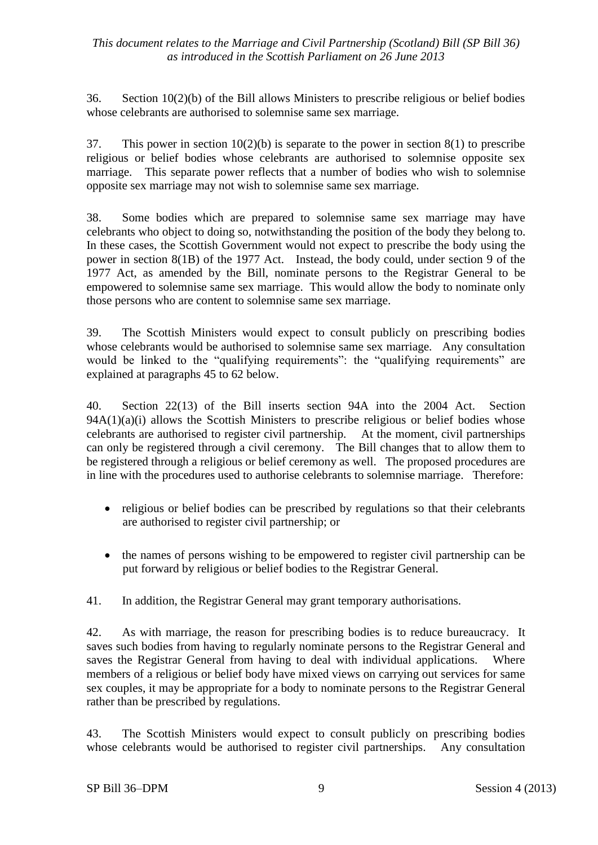36. Section 10(2)(b) of the Bill allows Ministers to prescribe religious or belief bodies whose celebrants are authorised to solemnise same sex marriage.

37. This power in section 10(2)(b) is separate to the power in section 8(1) to prescribe religious or belief bodies whose celebrants are authorised to solemnise opposite sex marriage. This separate power reflects that a number of bodies who wish to solemnise opposite sex marriage may not wish to solemnise same sex marriage.

38. Some bodies which are prepared to solemnise same sex marriage may have celebrants who object to doing so, notwithstanding the position of the body they belong to. In these cases, the Scottish Government would not expect to prescribe the body using the power in section 8(1B) of the 1977 Act. Instead, the body could, under section 9 of the 1977 Act, as amended by the Bill, nominate persons to the Registrar General to be empowered to solemnise same sex marriage. This would allow the body to nominate only those persons who are content to solemnise same sex marriage.

39. The Scottish Ministers would expect to consult publicly on prescribing bodies whose celebrants would be authorised to solemnise same sex marriage. Any consultation would be linked to the "qualifying requirements": the "qualifying requirements" are explained at paragraphs 45 to 62 below.

40. Section 22(13) of the Bill inserts section 94A into the 2004 Act. Section  $94A(1)(a)(i)$  allows the Scottish Ministers to prescribe religious or belief bodies whose celebrants are authorised to register civil partnership. At the moment, civil partnerships can only be registered through a civil ceremony. The Bill changes that to allow them to be registered through a religious or belief ceremony as well. The proposed procedures are in line with the procedures used to authorise celebrants to solemnise marriage. Therefore:

- religious or belief bodies can be prescribed by regulations so that their celebrants are authorised to register civil partnership; or
- the names of persons wishing to be empowered to register civil partnership can be put forward by religious or belief bodies to the Registrar General.
- 41. In addition, the Registrar General may grant temporary authorisations.

42. As with marriage, the reason for prescribing bodies is to reduce bureaucracy. It saves such bodies from having to regularly nominate persons to the Registrar General and saves the Registrar General from having to deal with individual applications. Where members of a religious or belief body have mixed views on carrying out services for same sex couples, it may be appropriate for a body to nominate persons to the Registrar General rather than be prescribed by regulations.

43. The Scottish Ministers would expect to consult publicly on prescribing bodies whose celebrants would be authorised to register civil partnerships. Any consultation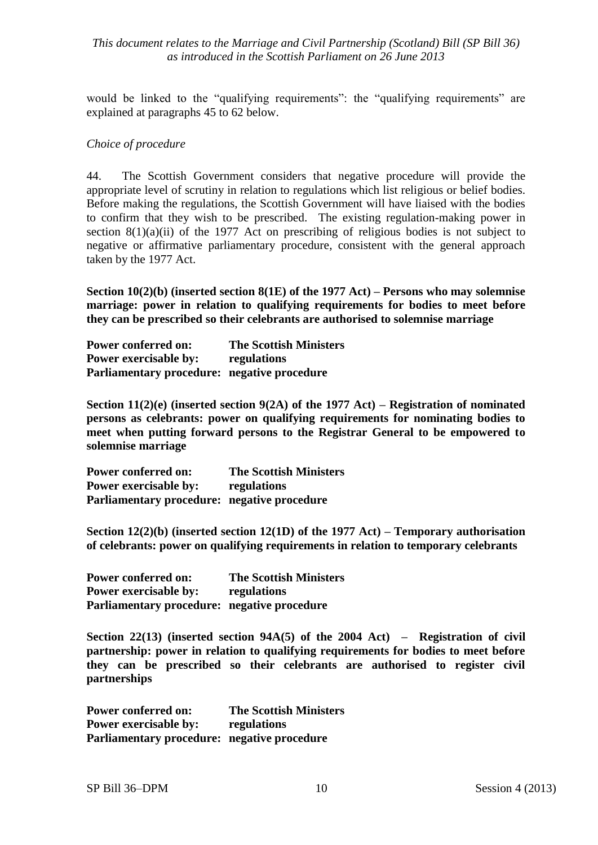would be linked to the "qualifying requirements": the "qualifying requirements" are explained at paragraphs 45 to 62 below.

#### *Choice of procedure*

44. The Scottish Government considers that negative procedure will provide the appropriate level of scrutiny in relation to regulations which list religious or belief bodies. Before making the regulations, the Scottish Government will have liaised with the bodies to confirm that they wish to be prescribed. The existing regulation-making power in section  $8(1)(a)(ii)$  of the 1977 Act on prescribing of religious bodies is not subject to negative or affirmative parliamentary procedure, consistent with the general approach taken by the 1977 Act.

**Section 10(2)(b) (inserted section 8(1E) of the 1977 Act) – Persons who may solemnise marriage: power in relation to qualifying requirements for bodies to meet before they can be prescribed so their celebrants are authorised to solemnise marriage**

**Power conferred on: The Scottish Ministers Power exercisable by: regulations Parliamentary procedure: negative procedure**

**Section 11(2)(e) (inserted section 9(2A) of the 1977 Act) – Registration of nominated persons as celebrants: power on qualifying requirements for nominating bodies to meet when putting forward persons to the Registrar General to be empowered to solemnise marriage**

**Power conferred on: The Scottish Ministers Power exercisable by: regulations Parliamentary procedure: negative procedure**

**Section 12(2)(b) (inserted section 12(1D) of the 1977 Act) – Temporary authorisation of celebrants: power on qualifying requirements in relation to temporary celebrants**

**Power conferred on: The Scottish Ministers Power exercisable by: regulations Parliamentary procedure: negative procedure**

**Section 22(13) (inserted section 94A(5) of the 2004 Act) – Registration of civil partnership: power in relation to qualifying requirements for bodies to meet before they can be prescribed so their celebrants are authorised to register civil partnerships**

**Power conferred on: The Scottish Ministers Power exercisable by: regulations Parliamentary procedure: negative procedure**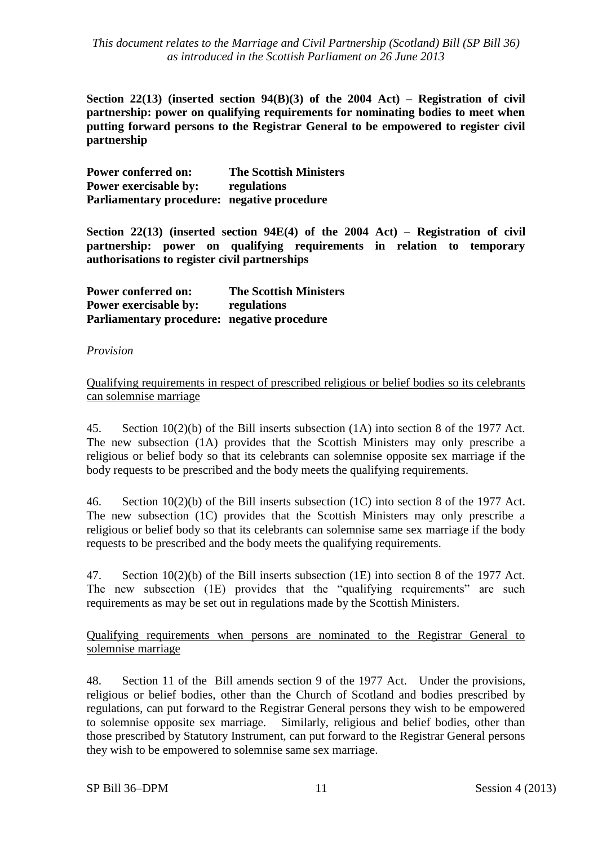**Section 22(13) (inserted section 94(B)(3) of the 2004 Act) – Registration of civil partnership: power on qualifying requirements for nominating bodies to meet when putting forward persons to the Registrar General to be empowered to register civil partnership**

**Power conferred on: The Scottish Ministers Power exercisable by: regulations Parliamentary procedure: negative procedure**

**Section 22(13) (inserted section 94E(4) of the 2004 Act) – Registration of civil partnership: power on qualifying requirements in relation to temporary authorisations to register civil partnerships**

**Power conferred on: The Scottish Ministers Power exercisable by: regulations Parliamentary procedure: negative procedure**

#### *Provision*

Qualifying requirements in respect of prescribed religious or belief bodies so its celebrants can solemnise marriage

45. Section 10(2)(b) of the Bill inserts subsection (1A) into section 8 of the 1977 Act. The new subsection (1A) provides that the Scottish Ministers may only prescribe a religious or belief body so that its celebrants can solemnise opposite sex marriage if the body requests to be prescribed and the body meets the qualifying requirements.

46. Section 10(2)(b) of the Bill inserts subsection (1C) into section 8 of the 1977 Act. The new subsection (1C) provides that the Scottish Ministers may only prescribe a religious or belief body so that its celebrants can solemnise same sex marriage if the body requests to be prescribed and the body meets the qualifying requirements.

47. Section 10(2)(b) of the Bill inserts subsection (1E) into section 8 of the 1977 Act. The new subsection (1E) provides that the "qualifying requirements" are such requirements as may be set out in regulations made by the Scottish Ministers.

Qualifying requirements when persons are nominated to the Registrar General to solemnise marriage

48. Section 11 of the Bill amends section 9 of the 1977 Act. Under the provisions, religious or belief bodies, other than the Church of Scotland and bodies prescribed by regulations, can put forward to the Registrar General persons they wish to be empowered to solemnise opposite sex marriage. Similarly, religious and belief bodies, other than those prescribed by Statutory Instrument, can put forward to the Registrar General persons they wish to be empowered to solemnise same sex marriage.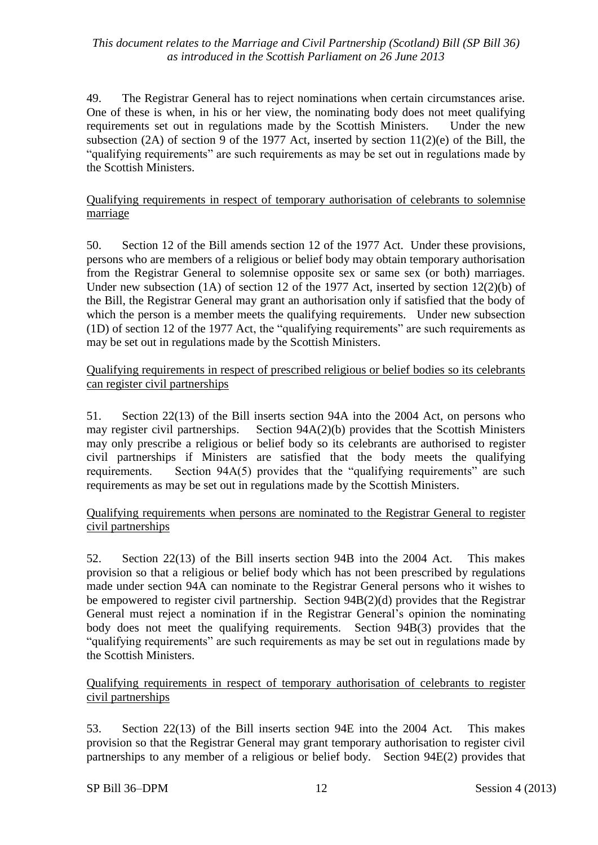49. The Registrar General has to reject nominations when certain circumstances arise. One of these is when, in his or her view, the nominating body does not meet qualifying requirements set out in regulations made by the Scottish Ministers. Under the new subsection (2A) of section 9 of the 1977 Act, inserted by section  $11(2)(e)$  of the Bill, the "qualifying requirements" are such requirements as may be set out in regulations made by the Scottish Ministers.

## Qualifying requirements in respect of temporary authorisation of celebrants to solemnise marriage

50. Section 12 of the Bill amends section 12 of the 1977 Act. Under these provisions, persons who are members of a religious or belief body may obtain temporary authorisation from the Registrar General to solemnise opposite sex or same sex (or both) marriages. Under new subsection (1A) of section 12 of the 1977 Act, inserted by section 12(2)(b) of the Bill, the Registrar General may grant an authorisation only if satisfied that the body of which the person is a member meets the qualifying requirements. Under new subsection (1D) of section 12 of the 1977 Act, the "qualifying requirements" are such requirements as may be set out in regulations made by the Scottish Ministers.

#### Qualifying requirements in respect of prescribed religious or belief bodies so its celebrants can register civil partnerships

51. Section 22(13) of the Bill inserts section 94A into the 2004 Act, on persons who may register civil partnerships. Section 94A(2)(b) provides that the Scottish Ministers may only prescribe a religious or belief body so its celebrants are authorised to register civil partnerships if Ministers are satisfied that the body meets the qualifying requirements. Section 94A(5) provides that the "qualifying requirements" are such requirements as may be set out in regulations made by the Scottish Ministers.

## Qualifying requirements when persons are nominated to the Registrar General to register civil partnerships

52. Section 22(13) of the Bill inserts section 94B into the 2004 Act. This makes provision so that a religious or belief body which has not been prescribed by regulations made under section 94A can nominate to the Registrar General persons who it wishes to be empowered to register civil partnership. Section 94B(2)(d) provides that the Registrar General must reject a nomination if in the Registrar General's opinion the nominating body does not meet the qualifying requirements. Section 94B(3) provides that the "qualifying requirements" are such requirements as may be set out in regulations made by the Scottish Ministers.

## Qualifying requirements in respect of temporary authorisation of celebrants to register civil partnerships

53. Section 22(13) of the Bill inserts section 94E into the 2004 Act. This makes provision so that the Registrar General may grant temporary authorisation to register civil partnerships to any member of a religious or belief body. Section 94E(2) provides that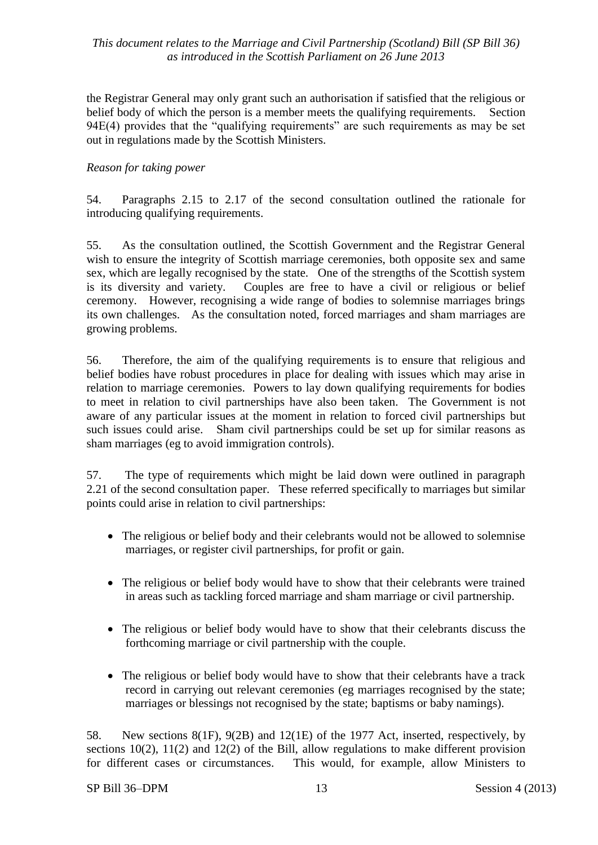the Registrar General may only grant such an authorisation if satisfied that the religious or belief body of which the person is a member meets the qualifying requirements. Section 94E(4) provides that the "qualifying requirements" are such requirements as may be set out in regulations made by the Scottish Ministers.

## *Reason for taking power*

54. Paragraphs 2.15 to 2.17 of the second consultation outlined the rationale for introducing qualifying requirements.

55. As the consultation outlined, the Scottish Government and the Registrar General wish to ensure the integrity of Scottish marriage ceremonies, both opposite sex and same sex, which are legally recognised by the state. One of the strengths of the Scottish system is its diversity and variety. Couples are free to have a civil or religious or belief ceremony. However, recognising a wide range of bodies to solemnise marriages brings its own challenges. As the consultation noted, forced marriages and sham marriages are growing problems.

56. Therefore, the aim of the qualifying requirements is to ensure that religious and belief bodies have robust procedures in place for dealing with issues which may arise in relation to marriage ceremonies. Powers to lay down qualifying requirements for bodies to meet in relation to civil partnerships have also been taken. The Government is not aware of any particular issues at the moment in relation to forced civil partnerships but such issues could arise. Sham civil partnerships could be set up for similar reasons as sham marriages (eg to avoid immigration controls).

57. The type of requirements which might be laid down were outlined in paragraph 2.21 of the second consultation paper. These referred specifically to marriages but similar points could arise in relation to civil partnerships:

- The religious or belief body and their celebrants would not be allowed to solemnise marriages, or register civil partnerships, for profit or gain.
- The religious or belief body would have to show that their celebrants were trained in areas such as tackling forced marriage and sham marriage or civil partnership.
- The religious or belief body would have to show that their celebrants discuss the forthcoming marriage or civil partnership with the couple.
- The religious or belief body would have to show that their celebrants have a track record in carrying out relevant ceremonies (eg marriages recognised by the state; marriages or blessings not recognised by the state; baptisms or baby namings).

58. New sections 8(1F), 9(2B) and 12(1E) of the 1977 Act, inserted, respectively, by sections 10(2), 11(2) and 12(2) of the Bill, allow regulations to make different provision for different cases or circumstances. This would, for example, allow Ministers to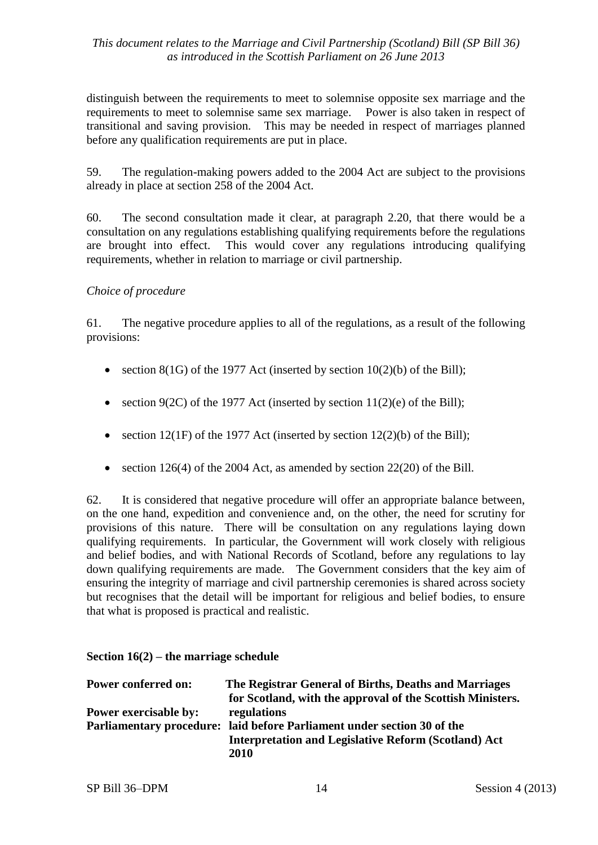distinguish between the requirements to meet to solemnise opposite sex marriage and the requirements to meet to solemnise same sex marriage. Power is also taken in respect of transitional and saving provision. This may be needed in respect of marriages planned before any qualification requirements are put in place.

59. The regulation-making powers added to the 2004 Act are subject to the provisions already in place at section 258 of the 2004 Act.

60. The second consultation made it clear, at paragraph 2.20, that there would be a consultation on any regulations establishing qualifying requirements before the regulations are brought into effect. This would cover any regulations introducing qualifying requirements, whether in relation to marriage or civil partnership.

## *Choice of procedure*

61. The negative procedure applies to all of the regulations, as a result of the following provisions:

- section  $8(1)$  of the 1977 Act (inserted by section  $10(2)(b)$  of the Bill);
- section 9(2C) of the 1977 Act (inserted by section 11(2)(e) of the Bill);
- section 12(1F) of the 1977 Act (inserted by section 12(2)(b) of the Bill);
- section 126(4) of the 2004 Act, as amended by section 22(20) of the Bill.

62. It is considered that negative procedure will offer an appropriate balance between, on the one hand, expedition and convenience and, on the other, the need for scrutiny for provisions of this nature. There will be consultation on any regulations laying down qualifying requirements. In particular, the Government will work closely with religious and belief bodies, and with National Records of Scotland, before any regulations to lay down qualifying requirements are made. The Government considers that the key aim of ensuring the integrity of marriage and civil partnership ceremonies is shared across society but recognises that the detail will be important for religious and belief bodies, to ensure that what is proposed is practical and realistic.

#### **Section 16(2) – the marriage schedule**

| <b>Power conferred on:</b>   | The Registrar General of Births, Deaths and Marriages                   |
|------------------------------|-------------------------------------------------------------------------|
|                              | for Scotland, with the approval of the Scottish Ministers.              |
| <b>Power exercisable by:</b> | regulations                                                             |
|                              | Parliamentary procedure: laid before Parliament under section 30 of the |
|                              | <b>Interpretation and Legislative Reform (Scotland) Act</b>             |
|                              | 2010                                                                    |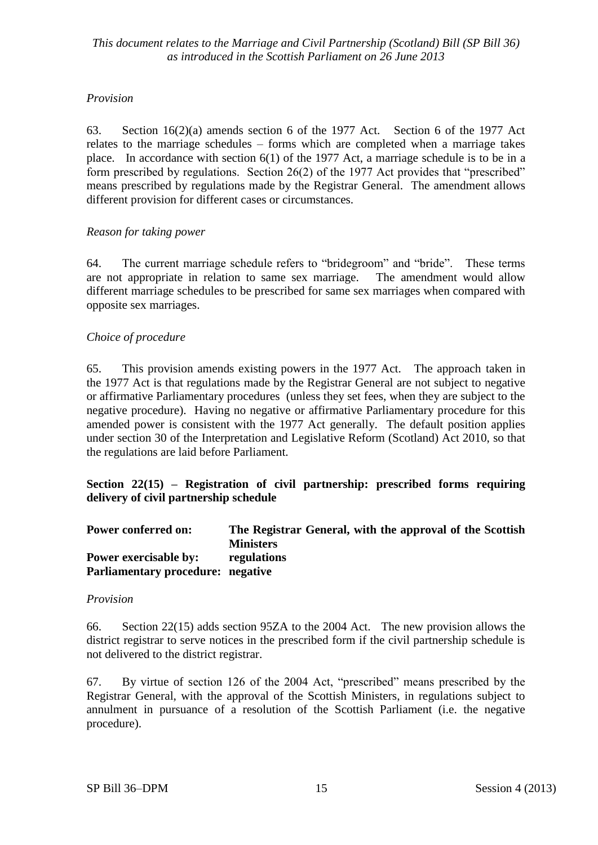## *Provision*

63. Section 16(2)(a) amends section 6 of the 1977 Act. Section 6 of the 1977 Act relates to the marriage schedules – forms which are completed when a marriage takes place. In accordance with section 6(1) of the 1977 Act, a marriage schedule is to be in a form prescribed by regulations. Section 26(2) of the 1977 Act provides that "prescribed" means prescribed by regulations made by the Registrar General. The amendment allows different provision for different cases or circumstances.

## *Reason for taking power*

64. The current marriage schedule refers to "bridegroom" and "bride". These terms are not appropriate in relation to same sex marriage. The amendment would allow different marriage schedules to be prescribed for same sex marriages when compared with opposite sex marriages.

## *Choice of procedure*

65. This provision amends existing powers in the 1977 Act. The approach taken in the 1977 Act is that regulations made by the Registrar General are not subject to negative or affirmative Parliamentary procedures (unless they set fees, when they are subject to the negative procedure). Having no negative or affirmative Parliamentary procedure for this amended power is consistent with the 1977 Act generally. The default position applies under section 30 of the Interpretation and Legislative Reform (Scotland) Act 2010, so that the regulations are laid before Parliament.

**Section 22(15) – Registration of civil partnership: prescribed forms requiring delivery of civil partnership schedule** 

| <b>Power conferred on:</b>               | The Registrar General, with the approval of the Scottish |
|------------------------------------------|----------------------------------------------------------|
|                                          | <b>Ministers</b>                                         |
| <b>Power exercisable by:</b>             | regulations                                              |
| <b>Parliamentary procedure: negative</b> |                                                          |

## *Provision*

66. Section 22(15) adds section 95ZA to the 2004 Act. The new provision allows the district registrar to serve notices in the prescribed form if the civil partnership schedule is not delivered to the district registrar.

67. By virtue of section 126 of the 2004 Act, "prescribed" means prescribed by the Registrar General, with the approval of the Scottish Ministers, in regulations subject to annulment in pursuance of a resolution of the Scottish Parliament (i.e. the negative procedure).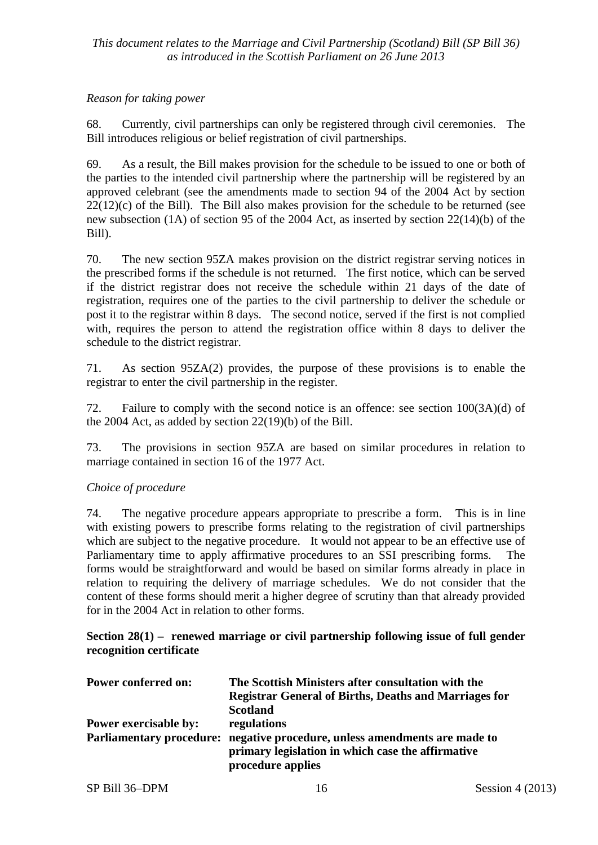#### *Reason for taking power*

68. Currently, civil partnerships can only be registered through civil ceremonies. The Bill introduces religious or belief registration of civil partnerships.

69. As a result, the Bill makes provision for the schedule to be issued to one or both of the parties to the intended civil partnership where the partnership will be registered by an approved celebrant (see the amendments made to section 94 of the 2004 Act by section  $22(12)(c)$  of the Bill). The Bill also makes provision for the schedule to be returned (see new subsection (1A) of section 95 of the 2004 Act, as inserted by section 22(14)(b) of the Bill).

70. The new section 95ZA makes provision on the district registrar serving notices in the prescribed forms if the schedule is not returned. The first notice, which can be served if the district registrar does not receive the schedule within 21 days of the date of registration, requires one of the parties to the civil partnership to deliver the schedule or post it to the registrar within 8 days. The second notice, served if the first is not complied with, requires the person to attend the registration office within 8 days to deliver the schedule to the district registrar.

71. As section 95ZA(2) provides, the purpose of these provisions is to enable the registrar to enter the civil partnership in the register.

72. Failure to comply with the second notice is an offence: see section 100(3A)(d) of the 2004 Act, as added by section 22(19)(b) of the Bill.

73. The provisions in section 95ZA are based on similar procedures in relation to marriage contained in section 16 of the 1977 Act.

## *Choice of procedure*

74. The negative procedure appears appropriate to prescribe a form. This is in line with existing powers to prescribe forms relating to the registration of civil partnerships which are subject to the negative procedure. It would not appear to be an effective use of Parliamentary time to apply affirmative procedures to an SSI prescribing forms. The forms would be straightforward and would be based on similar forms already in place in relation to requiring the delivery of marriage schedules. We do not consider that the content of these forms should merit a higher degree of scrutiny than that already provided for in the 2004 Act in relation to other forms.

#### **Section 28(1) – renewed marriage or civil partnership following issue of full gender recognition certificate**

| <b>Power conferred on:</b>   | The Scottish Ministers after consultation with the                         |
|------------------------------|----------------------------------------------------------------------------|
|                              | <b>Registrar General of Births, Deaths and Marriages for</b>               |
|                              | <b>Scotland</b>                                                            |
| <b>Power exercisable by:</b> | regulations                                                                |
|                              | Parliamentary procedure: negative procedure, unless amendments are made to |
|                              | primary legislation in which case the affirmative                          |
|                              | procedure applies                                                          |

SP Bill 36–DPM 16 Session 4 (2013)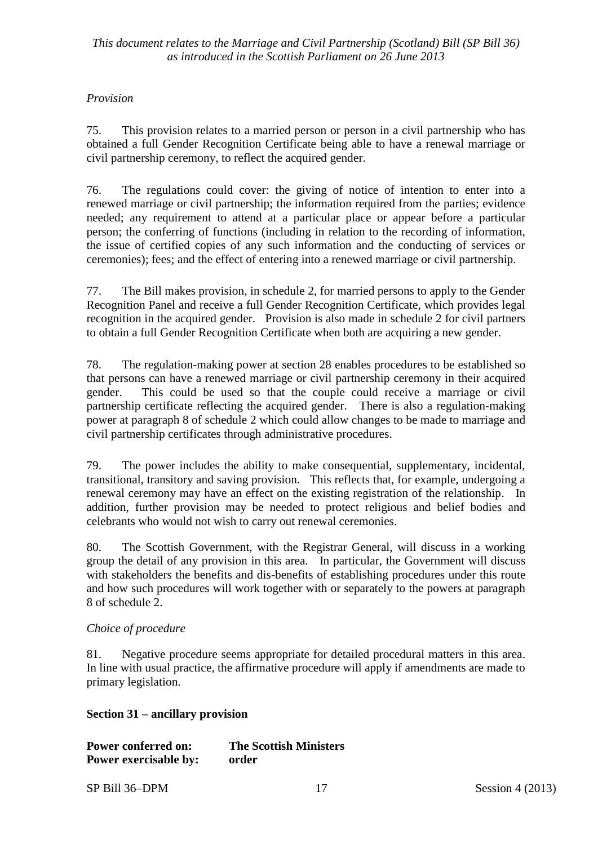#### *Provision*

75. This provision relates to a married person or person in a civil partnership who has obtained a full Gender Recognition Certificate being able to have a renewal marriage or civil partnership ceremony, to reflect the acquired gender.

76. The regulations could cover: the giving of notice of intention to enter into a renewed marriage or civil partnership; the information required from the parties; evidence needed; any requirement to attend at a particular place or appear before a particular person; the conferring of functions (including in relation to the recording of information, the issue of certified copies of any such information and the conducting of services or ceremonies); fees; and the effect of entering into a renewed marriage or civil partnership.

77. The Bill makes provision, in schedule 2, for married persons to apply to the Gender Recognition Panel and receive a full Gender Recognition Certificate, which provides legal recognition in the acquired gender. Provision is also made in schedule 2 for civil partners to obtain a full Gender Recognition Certificate when both are acquiring a new gender.

78. The regulation-making power at section 28 enables procedures to be established so that persons can have a renewed marriage or civil partnership ceremony in their acquired gender. This could be used so that the couple could receive a marriage or civil partnership certificate reflecting the acquired gender. There is also a regulation-making power at paragraph 8 of schedule 2 which could allow changes to be made to marriage and civil partnership certificates through administrative procedures.

79. The power includes the ability to make consequential, supplementary, incidental, transitional, transitory and saving provision. This reflects that, for example, undergoing a renewal ceremony may have an effect on the existing registration of the relationship. In addition, further provision may be needed to protect religious and belief bodies and celebrants who would not wish to carry out renewal ceremonies.

80. The Scottish Government, with the Registrar General, will discuss in a working group the detail of any provision in this area. In particular, the Government will discuss with stakeholders the benefits and dis-benefits of establishing procedures under this route and how such procedures will work together with or separately to the powers at paragraph 8 of schedule 2.

#### *Choice of procedure*

81. Negative procedure seems appropriate for detailed procedural matters in this area. In line with usual practice, the affirmative procedure will apply if amendments are made to primary legislation.

#### **Section 31 – ancillary provision**

| <b>Power conferred on:</b> | <b>The Scottish Ministers</b> |
|----------------------------|-------------------------------|
| Power exercisable by:      | order                         |

SP Bill 36–DPM 17 Session 4 (2013)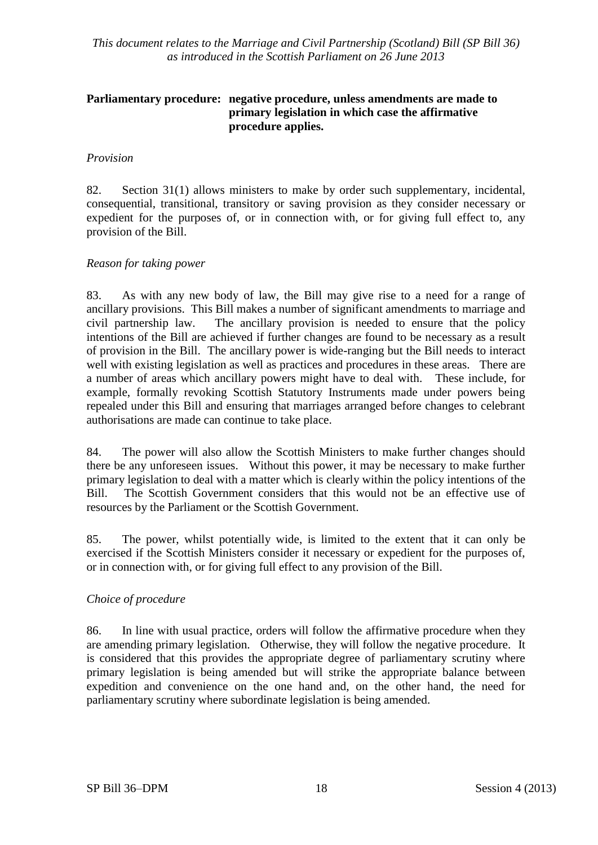#### **Parliamentary procedure: negative procedure, unless amendments are made to primary legislation in which case the affirmative procedure applies.**

#### *Provision*

82. Section 31(1) allows ministers to make by order such supplementary, incidental, consequential, transitional, transitory or saving provision as they consider necessary or expedient for the purposes of, or in connection with, or for giving full effect to, any provision of the Bill.

#### *Reason for taking power*

83. As with any new body of law, the Bill may give rise to a need for a range of ancillary provisions. This Bill makes a number of significant amendments to marriage and civil partnership law. The ancillary provision is needed to ensure that the policy intentions of the Bill are achieved if further changes are found to be necessary as a result of provision in the Bill. The ancillary power is wide-ranging but the Bill needs to interact well with existing legislation as well as practices and procedures in these areas. There are a number of areas which ancillary powers might have to deal with. These include, for example, formally revoking Scottish Statutory Instruments made under powers being repealed under this Bill and ensuring that marriages arranged before changes to celebrant authorisations are made can continue to take place.

84. The power will also allow the Scottish Ministers to make further changes should there be any unforeseen issues. Without this power, it may be necessary to make further primary legislation to deal with a matter which is clearly within the policy intentions of the Bill. The Scottish Government considers that this would not be an effective use of resources by the Parliament or the Scottish Government.

85. The power, whilst potentially wide, is limited to the extent that it can only be exercised if the Scottish Ministers consider it necessary or expedient for the purposes of, or in connection with, or for giving full effect to any provision of the Bill.

#### *Choice of procedure*

86. In line with usual practice, orders will follow the affirmative procedure when they are amending primary legislation. Otherwise, they will follow the negative procedure. It is considered that this provides the appropriate degree of parliamentary scrutiny where primary legislation is being amended but will strike the appropriate balance between expedition and convenience on the one hand and, on the other hand, the need for parliamentary scrutiny where subordinate legislation is being amended.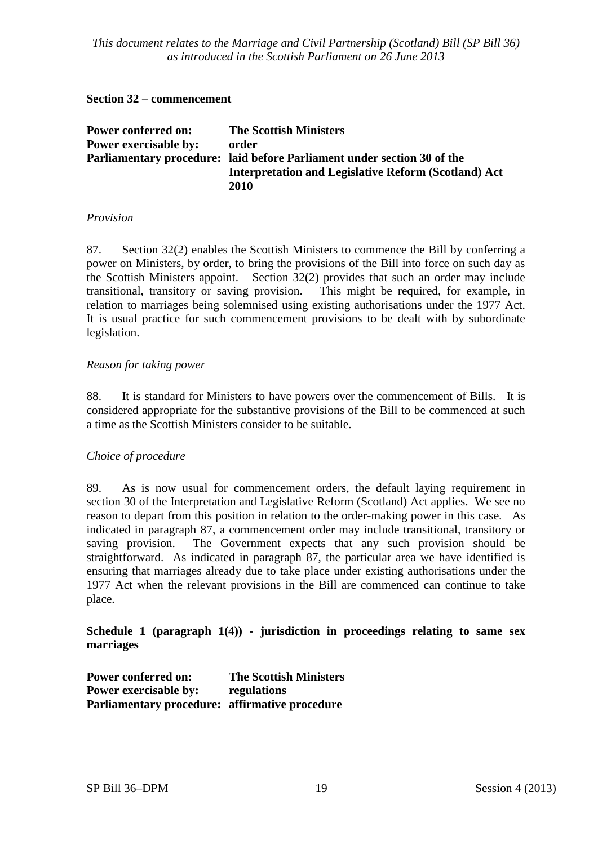#### **Section 32 – commencement**

| <b>Power conferred on:</b>   | <b>The Scottish Ministers</b>                                           |
|------------------------------|-------------------------------------------------------------------------|
| <b>Power exercisable by:</b> | order                                                                   |
|                              | Parliamentary procedure: laid before Parliament under section 30 of the |
|                              | <b>Interpretation and Legislative Reform (Scotland) Act</b>             |
|                              | 2010                                                                    |

#### *Provision*

87. Section 32(2) enables the Scottish Ministers to commence the Bill by conferring a power on Ministers, by order, to bring the provisions of the Bill into force on such day as the Scottish Ministers appoint. Section 32(2) provides that such an order may include transitional, transitory or saving provision. This might be required, for example, in relation to marriages being solemnised using existing authorisations under the 1977 Act. It is usual practice for such commencement provisions to be dealt with by subordinate legislation.

#### *Reason for taking power*

88. It is standard for Ministers to have powers over the commencement of Bills. It is considered appropriate for the substantive provisions of the Bill to be commenced at such a time as the Scottish Ministers consider to be suitable.

#### *Choice of procedure*

89. As is now usual for commencement orders, the default laying requirement in section 30 of the Interpretation and Legislative Reform (Scotland) Act applies. We see no reason to depart from this position in relation to the order-making power in this case. As indicated in paragraph 87, a commencement order may include transitional, transitory or saving provision. The Government expects that any such provision should be straightforward. As indicated in paragraph 87, the particular area we have identified is ensuring that marriages already due to take place under existing authorisations under the 1977 Act when the relevant provisions in the Bill are commenced can continue to take place.

**Schedule 1 (paragraph 1(4)) - jurisdiction in proceedings relating to same sex marriages**

**Power conferred on: The Scottish Ministers Power exercisable by: regulations Parliamentary procedure: affirmative procedure**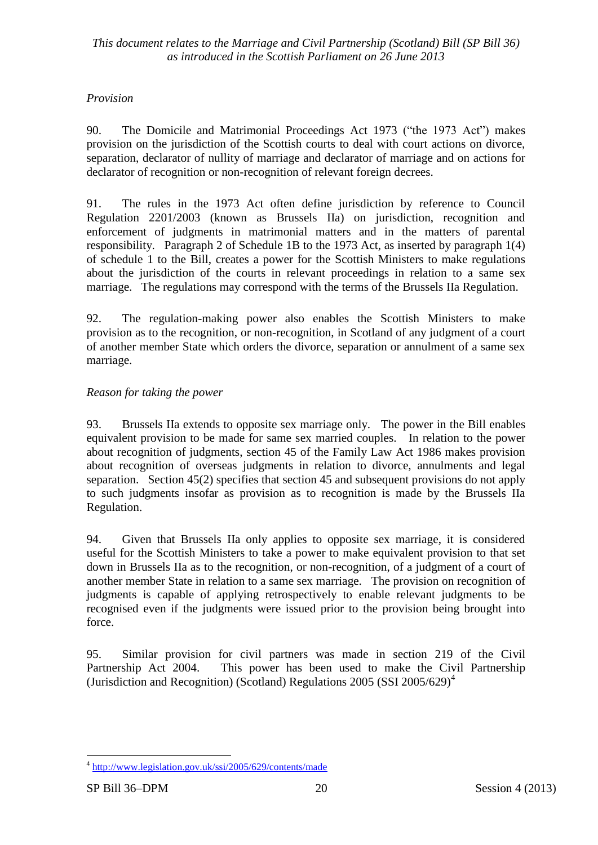## *Provision*

90. The Domicile and Matrimonial Proceedings Act 1973 ("the 1973 Act") makes provision on the jurisdiction of the Scottish courts to deal with court actions on divorce, separation, declarator of nullity of marriage and declarator of marriage and on actions for declarator of recognition or non-recognition of relevant foreign decrees.

91. The rules in the 1973 Act often define jurisdiction by reference to Council Regulation 2201/2003 (known as Brussels IIa) on jurisdiction, recognition and enforcement of judgments in matrimonial matters and in the matters of parental responsibility. Paragraph 2 of Schedule 1B to the 1973 Act, as inserted by paragraph 1(4) of schedule 1 to the Bill, creates a power for the Scottish Ministers to make regulations about the jurisdiction of the courts in relevant proceedings in relation to a same sex marriage. The regulations may correspond with the terms of the Brussels IIa Regulation.

92. The regulation-making power also enables the Scottish Ministers to make provision as to the recognition, or non-recognition, in Scotland of any judgment of a court of another member State which orders the divorce, separation or annulment of a same sex marriage.

## *Reason for taking the power*

93. Brussels IIa extends to opposite sex marriage only. The power in the Bill enables equivalent provision to be made for same sex married couples. In relation to the power about recognition of judgments, section 45 of the Family Law Act 1986 makes provision about recognition of overseas judgments in relation to divorce, annulments and legal separation. Section 45(2) specifies that section 45 and subsequent provisions do not apply to such judgments insofar as provision as to recognition is made by the Brussels IIa Regulation.

94. Given that Brussels IIa only applies to opposite sex marriage, it is considered useful for the Scottish Ministers to take a power to make equivalent provision to that set down in Brussels IIa as to the recognition, or non-recognition, of a judgment of a court of another member State in relation to a same sex marriage. The provision on recognition of judgments is capable of applying retrospectively to enable relevant judgments to be recognised even if the judgments were issued prior to the provision being brought into force.

95. Similar provision for civil partners was made in section 219 of the Civil Partnership Act 2004. This power has been used to make the Civil Partnership (Jurisdiction and Recognition) (Scotland) Regulations  $2005$  (SSI  $2005/629$ <sup>4</sup>

 4 <http://www.legislation.gov.uk/ssi/2005/629/contents/made>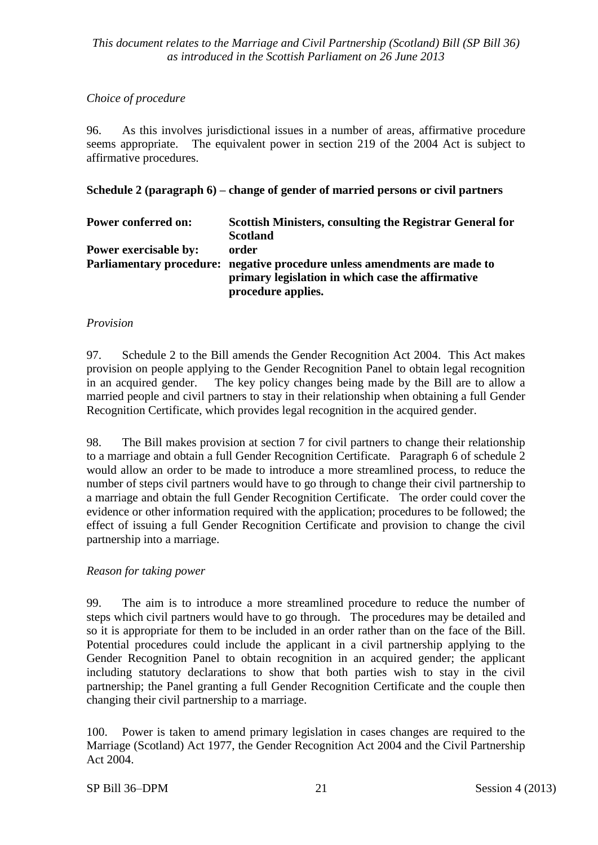## *Choice of procedure*

96. As this involves jurisdictional issues in a number of areas, affirmative procedure seems appropriate. The equivalent power in section 219 of the 2004 Act is subject to affirmative procedures.

## **Schedule 2 (paragraph 6) – change of gender of married persons or civil partners**

| <b>Power conferred on:</b>   | Scottish Ministers, consulting the Registrar General for                  |
|------------------------------|---------------------------------------------------------------------------|
|                              | <b>Scotland</b>                                                           |
| <b>Power exercisable by:</b> | order                                                                     |
|                              | Parliamentary procedure: negative procedure unless amendments are made to |
|                              | primary legislation in which case the affirmative                         |
|                              | procedure applies.                                                        |

## *Provision*

97. Schedule 2 to the Bill amends the Gender Recognition Act 2004. This Act makes provision on people applying to the Gender Recognition Panel to obtain legal recognition in an acquired gender. The key policy changes being made by the Bill are to allow a married people and civil partners to stay in their relationship when obtaining a full Gender Recognition Certificate, which provides legal recognition in the acquired gender.

98. The Bill makes provision at section 7 for civil partners to change their relationship to a marriage and obtain a full Gender Recognition Certificate. Paragraph 6 of schedule 2 would allow an order to be made to introduce a more streamlined process, to reduce the number of steps civil partners would have to go through to change their civil partnership to a marriage and obtain the full Gender Recognition Certificate. The order could cover the evidence or other information required with the application; procedures to be followed; the effect of issuing a full Gender Recognition Certificate and provision to change the civil partnership into a marriage.

## *Reason for taking power*

99. The aim is to introduce a more streamlined procedure to reduce the number of steps which civil partners would have to go through. The procedures may be detailed and so it is appropriate for them to be included in an order rather than on the face of the Bill. Potential procedures could include the applicant in a civil partnership applying to the Gender Recognition Panel to obtain recognition in an acquired gender; the applicant including statutory declarations to show that both parties wish to stay in the civil partnership; the Panel granting a full Gender Recognition Certificate and the couple then changing their civil partnership to a marriage.

100. Power is taken to amend primary legislation in cases changes are required to the Marriage (Scotland) Act 1977, the Gender Recognition Act 2004 and the Civil Partnership Act 2004.

#### SP Bill 36–DPM 21 Session 4 (2013)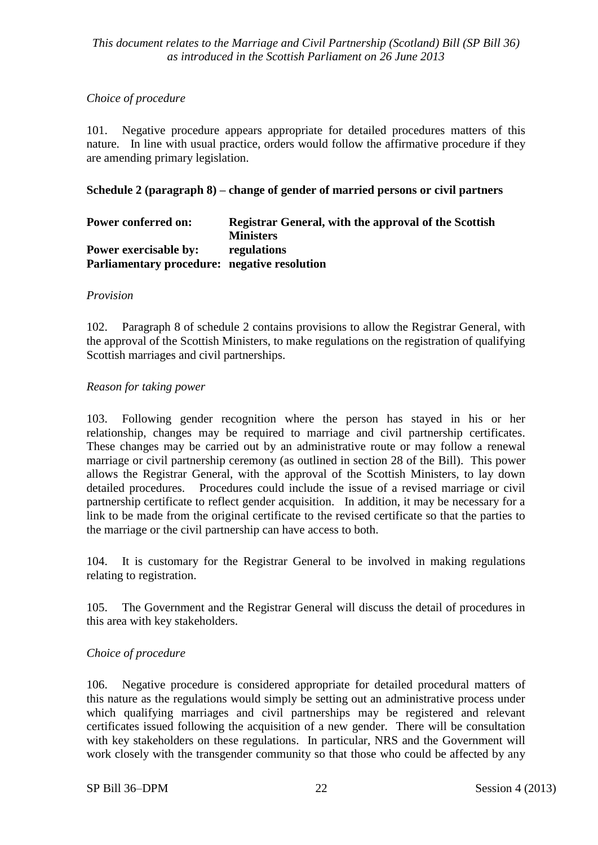#### *Choice of procedure*

101. Negative procedure appears appropriate for detailed procedures matters of this nature. In line with usual practice, orders would follow the affirmative procedure if they are amending primary legislation.

#### **Schedule 2 (paragraph 8) – change of gender of married persons or civil partners**

| <b>Power conferred on:</b>                   | <b>Registrar General, with the approval of the Scottish</b> |
|----------------------------------------------|-------------------------------------------------------------|
|                                              | <b>Ministers</b>                                            |
| <b>Power exercisable by:</b>                 | regulations                                                 |
| Parliamentary procedure: negative resolution |                                                             |

#### *Provision*

102. Paragraph 8 of schedule 2 contains provisions to allow the Registrar General, with the approval of the Scottish Ministers, to make regulations on the registration of qualifying Scottish marriages and civil partnerships.

#### *Reason for taking power*

103. Following gender recognition where the person has stayed in his or her relationship, changes may be required to marriage and civil partnership certificates. These changes may be carried out by an administrative route or may follow a renewal marriage or civil partnership ceremony (as outlined in section 28 of the Bill). This power allows the Registrar General, with the approval of the Scottish Ministers, to lay down detailed procedures. Procedures could include the issue of a revised marriage or civil partnership certificate to reflect gender acquisition. In addition, it may be necessary for a link to be made from the original certificate to the revised certificate so that the parties to the marriage or the civil partnership can have access to both.

104. It is customary for the Registrar General to be involved in making regulations relating to registration.

105. The Government and the Registrar General will discuss the detail of procedures in this area with key stakeholders.

#### *Choice of procedure*

106. Negative procedure is considered appropriate for detailed procedural matters of this nature as the regulations would simply be setting out an administrative process under which qualifying marriages and civil partnerships may be registered and relevant certificates issued following the acquisition of a new gender. There will be consultation with key stakeholders on these regulations. In particular, NRS and the Government will work closely with the transgender community so that those who could be affected by any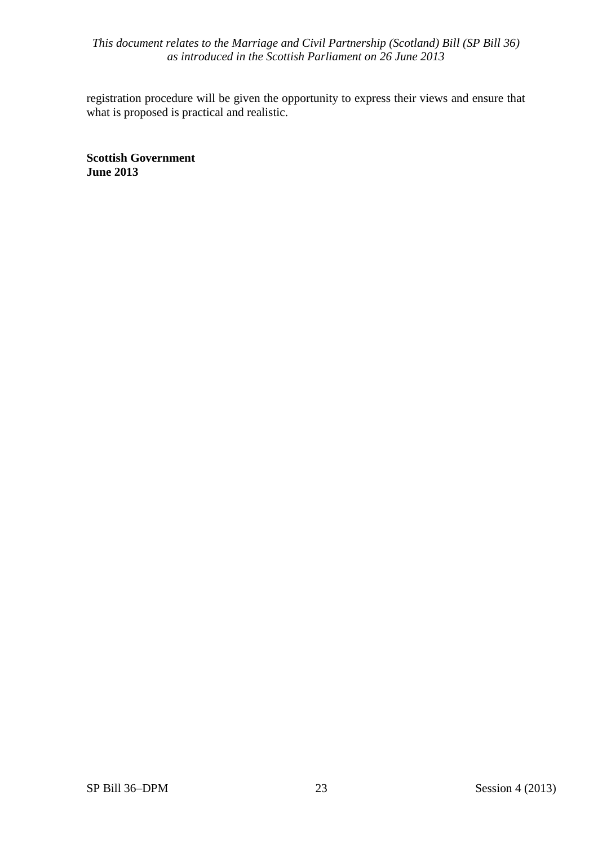registration procedure will be given the opportunity to express their views and ensure that what is proposed is practical and realistic.

**Scottish Government June 2013**